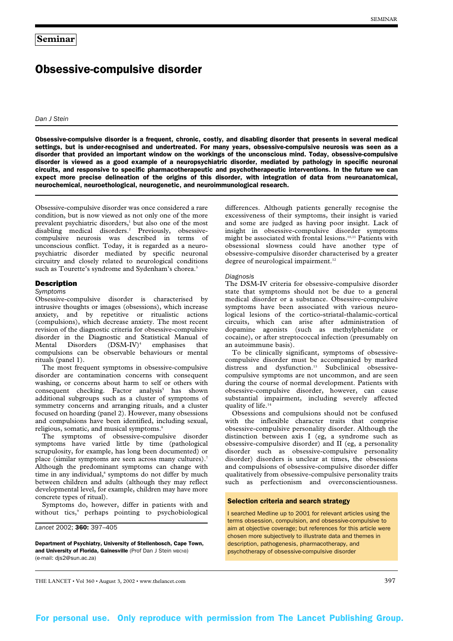Obsessive-compulsive disorder is a frequent, chronic, costly, and disabling disorder that presents in several medical settings, but is under-recognised and undertreated. For many years, obsessive-compulsive neurosis was seen as a disorder that provided an important window on the workings of the unconscious mind. Today, obsessive-compulsive disorder is viewed as a good example of a neuropsychiatric disorder, mediated by pathology in specific neuronal circuits, and responsive to specific pharmacotherapeutic and psychotherapeutic interventions. In the future we can expect more precise delineation of the origins of this disorder, with integration of data from neuroanatomical, neurochemical, neuroethological, neurogenetic, and neuroimmunological research.

Obsessive-compulsive disorder was once considered a rare condition, but is now viewed as not only one of the more prevalent psychiatric disorders,<sup>1</sup> but also one of the most disabling medical disorders.<sup>2</sup> Previously, obsessivecompulsive neurosis was described in terms of unconscious conflict. Today, it is regarded as a neuropsychiatric disorder mediated by specific neuronal circuitry and closely related to neurological conditions such as Tourette's syndrome and Sydenham's chorea.<sup>3</sup>

## **Description**

#### *Symptoms*

Obsessive-compulsive disorder is characterised by intrusive thoughts or images (obsessions), which increase anxiety, and by repetitive or ritualistic actions (compulsions), which decrease anxiety. The most recent revision of the diagnostic criteria for obsessive-compulsive disorder in the Diagnostic and Statistical Manual of Mental Disorders (DSM-IV)<sup>4</sup> emphasises that compulsions can be observable behaviours or mental rituals (panel 1).

The most frequent symptoms in obsessive-compulsive disorder are contamination concerns with consequent washing, or concerns about harm to self or others with consequent checking. Factor analysis<sup>5</sup> has shown additional subgroups such as a cluster of symptoms of symmetry concerns and arranging rituals, and a cluster focused on hoarding (panel 2). However, many obsessions and compulsions have been identified, including sexual, religious, somatic, and musical symptoms.<sup>6</sup>

The symptoms of obsessive-compulsive disorder symptoms have varied little by time (pathological scrupulosity, for example, has long been documented) or place (similar symptoms are seen across many cultures).7 Although the predominant symptoms can change with time in any individual,<sup>8</sup> symptoms do not differ by much between children and adults (although they may reflect developmental level, for example, children may have more concrete types of ritual).

Symptoms do, however, differ in patients with and without tics,<sup>9</sup> perhaps pointing to psychobiological

*Lancet* 2002; 360: 397–405

Department of Psychiatry, University of Stellenbosch, Cape Town, and University of Florida, Gainesville (Prof Dan J Stein MBChB) (e-mail: djs2@sun.ac.za)

differences. Although patients generally recognise the excessiveness of their symptoms, their insight is varied and some are judged as having poor insight. Lack of insight in obsessive-compulsive disorder symptoms might be associated with frontal lesions.10,11 Patients with obsessional slowness could have another type of obsessive-compulsive disorder characterised by a greater degree of neurological impairment.<sup>12</sup>

#### *Diagnosis*

The DSM-IV criteria for obsessive-compulsive disorder state that symptoms should not be due to a general medical disorder or a substance. Obsessive-compulsive symptoms have been associated with various neurological lesions of the cortico-striatal-thalamic-cortical circuits, which can arise after administration of dopamine agonists (such as methylphenidate or cocaine), or after streptococcal infection (presumably on an autoimmune basis).

To be clinically significant, symptoms of obsessivecompulsive disorder must be accompanied by marked distress and dysfunction.13 Subclinical obsessivecompulsive symptoms are not uncommon, and are seen during the course of normal development. Patients with obsessive-compulsive disorder, however, can cause substantial impairment, including severely affected quality of life.<sup>14</sup>

Obsessions and compulsions should not be confused with the inflexible character traits that comprise obsessive-compulsive personality disorder. Although the distinction between axis I (eg, a syndrome such as obsessive-compulsive disorder) and II (eg, a personality disorder such as obsessive-compulsive personality disorder) disorders is unclear at times, the obsessions and compulsions of obsessive-compulsive disorder differ qualitatively from obsessive-compulsive personality traits such as perfectionism and overconscientiousness.

#### Selection criteria and search strategy

I searched Medline up to 2001 for relevant articles using the terms obsession, compulsion, and obsessive-compulsive to aim at objective coverage; but references for this article were chosen more subjectively to illustrate data and themes in description, pathogenesis, pharmacotherapy, and psychotherapy of obsessive-compulsive disorder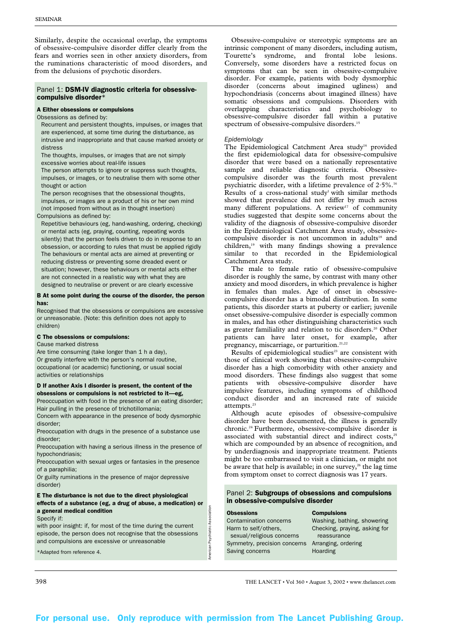Similarly, despite the occasional overlap, the symptoms of obsessive-compulsive disorder differ clearly from the fears and worries seen in other anxiety disorders, from the ruminations characteristic of mood disorders, and from the delusions of psychotic disorders.

## Panel 1: DSM-IV diagnostic criteria for obsessivecompulsive disorder\*

## A Either obsessions or compulsions

Obsessions as defined by:

Recurrent and persistent thoughts, impulses, or images that are experienced, at some time during the disturbance, as intrusive and inappropriate and that cause marked anxiety or distress

The thoughts, impulses, or images that are not simply excessive worries about real-life issues

The person attempts to ignore or suppress such thoughts, impulses, or images, or to neutralise them with some other thought or action

The person recognises that the obsessional thoughts, impulses, or images are a product of his or her own mind (not imposed from without as in thought insertion) Compulsions as defined by:

Repetitive behaviours (eg, hand-washing, ordering, checking) or mental acts (eg, praying, counting, repeating words silently) that the person feels driven to do in response to an obsession, or according to rules that must be applied rigidly The behaviours or mental acts are aimed at preventing or reducing distress or preventing some dreaded event or situation; however, these behaviours or mental acts either are not connected in a realistic way with what they are designed to neutralise or prevent or are clearly excessive

#### B At some point during the course of the disorder, the person has:

Recognised that the obsessions or compulsions are excessive or unreasonable. (Note: this definition does not apply to children)

#### C The obsessions or compulsions:

Cause marked distress

Are time consuming (take longer than 1 h a day), Or greatly interfere with the person's normal routine, occupational (or academic) functioning, or usual social activities or relationships

## D If another Axis I disorder is present, the content of the obsessions or compulsions is not restricted to it—eg,

Preoccupation with food in the presence of an eating disorder; Hair pulling in the presence of trichotillomania;

Concern with appearance in the presence of body dysmorphic disorder;

Preoccupation with drugs in the presence of a substance use disorder;

Preoccupation with having a serious illness in the presence of hypochondriasis;

Preoccupation with sexual urges or fantasies in the presence of a paraphilia;

Or guilty ruminations in the presence of major depressive disorder)

## E The disturbance is not due to the direct physiological effects of a substance (eg, a drug of abuse, a medication) or a general medical condition

Specify if:

with poor insight: if, for most of the time during the current episode, the person does not recognise that the obsessions and compulsions are excessive or unreasonable

\*Adapted from reference 4.

Obsessive-compulsive or stereotypic symptoms are an intrinsic component of many disorders, including autism, Tourette's syndrome, and frontal lobe lesions. Conversely, some disorders have a restricted focus on symptoms that can be seen in obsessive-compulsive disorder. For example, patients with body dysmorphic disorder (concerns about imagined ugliness) and hypochondriasis (concerns about imagined illness) have somatic obsessions and compulsions. Disorders with overlapping characteristics and psychobiology to obsessive-compulsive disorder fall within a putative spectrum of obsessive-compulsive disorders.<sup>15</sup>

#### *Epidemiology*

The Epidemiological Catchment Area study<sup>16</sup> provided the first epidemiological data for obsessive-compulsive disorder that were based on a nationally representative sample and reliable diagnostic criteria. Obsessivecompulsive disorder was the fourth most prevalent psychiatric disorder, with a lifetime prevalence of  $2.5\%$ .<sup>16</sup> Results of a cross-national study<sup>1</sup> with similar methods showed that prevalence did not differ by much across many different populations. A review<sup>17</sup> of community studies suggested that despite some concerns about the validity of the diagnosis of obsessive-compulsive disorder in the Epidemiological Catchment Area study, obsessivecompulsive disorder is not uncommon in adults<sup>18</sup> and children,19 with many findings showing a prevalence similar to that recorded in the Epidemiological Catchment Area study.

The male to female ratio of obsessive-compulsive disorder is roughly the same, by contrast with many other anxiety and mood disorders, in which prevalence is higher in females than males. Age of onset in obsessivecompulsive disorder has a bimodal distribution. In some patients, this disorder starts at puberty or earlier; juvenile onset obsessive-compulsive disorder is especially common in males, and has other distinguishing characteristics such as greater familiality and relation to tic disorders.<sup>20</sup> Other patients can have later onset, for example, after pregnancy, miscarriage, or parturition.<sup>21,22</sup>

Results of epidemiological studies<sup>23</sup> are consistent with those of clinical work showing that obsessive-compulsive disorder has a high comorbidity with other anxiety and mood disorders. These findings also suggest that some patients with obsessive-compulsive disorder have impulsive features, including symptoms of childhood conduct disorder and an increased rate of suicide attempts $^{23}$ 

Although acute episodes of obsessive-compulsive disorder have been documented, the illness is generally chronic.<sup>24</sup> Furthermore, obsessive-compulsive disorder is associated with substantial direct and indirect costs,<sup>25</sup> which are compounded by an absence of recognition, and by underdiagnosis and inappropriate treatment. Patients might be too embarrassed to visit a clinician, or might not be aware that help is available; in one survey, $26$  the lag time from symptom onset to correct diagnosis was 17 years.

## Panel 2: Subgroups of obsessions and compulsions in obsessive-compulsive disorder

| <b>Obsessions</b>             | <b>Compulsi</b> |
|-------------------------------|-----------------|
| <b>Contamination concerns</b> | Washing.        |
| Harm to self/others,          | Checking.       |
| sexual/religious concerns     | reassur         |
| Symmetry, precision concerns  | Arranging       |
| Saving concerns               | <b>Hoarding</b> |

ing, bathing, showering king, praying, asking for ssurance ging, ordering

 $$ 

398 THE LANCET • Vol 360 • August 3, 2002 • www.thelancet.com

American Psychiatric Association

**Psychiatric** 

merican

ssociation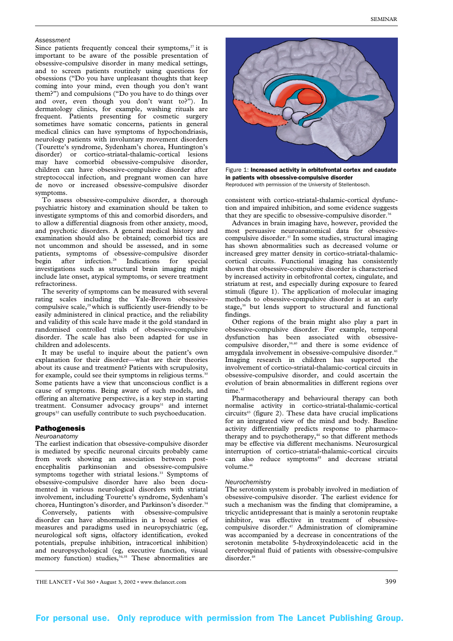*Assessment*

Since patients frequently conceal their symptoms, $27$  it is important to be aware of the possible presentation of obsessive-compulsive disorder in many medical settings, and to screen patients routinely using questions for obsessions ("Do you have unpleasant thoughts that keep coming into your mind, even though you don't want them?") and compulsions ("Do you have to do things over and over, even though you don't want to?"). In dermatology clinics, for example, washing rituals are frequent. Patients presenting for cosmetic surgery sometimes have somatic concerns, patients in general medical clinics can have symptoms of hypochondriasis, neurology patients with involuntary movement disorders (Tourette's syndrome, Sydenham's chorea, Huntington's disorder) or cortico-striatal-thalamic-cortical lesions may have comorbid obsessive-compulsive disorder, children can have obsessive-compulsive disorder after streptococcal infection, and pregnant women can have de novo or increased obsessive-compulsive disorder symptoms.

To assess obsessive-compulsive disorder, a thorough psychiatric history and examination should be taken to investigate symptoms of this and comorbid disorders, and to allow a differential diagnosis from other anxiety, mood, and psychotic disorders. A general medical history and examination should also be obtained; comorbid tics are not uncommon and should be assessed, and in some patients, symptoms of obsessive-compulsive disorder begin after infection.28 Indications for special investigations such as structural brain imaging might include late onset, atypical symptoms, or severe treatment refractoriness.

The severity of symptoms can be measured with several rating scales including the Yale-Brown obsessivecompulsive scale,<sup>29</sup> which is sufficiently user-friendly to be easily administered in clinical practice, and the reliability and validity of this scale have made it the gold standard in randomised controlled trials of obsessive-compulsive disorder. The scale has also been adapted for use in children and adolescents.

It may be useful to inquire about the patient's own explanation for their disorder—what are their theories about its cause and treatment? Patients with scrupulosity, for example, could see their symptoms in religious terms.<sup>3</sup> Some patients have a view that unconscious conflict is a cause of symptoms. Being aware of such models, and offering an alternative perspective, is a key step in starting treatment. Consumer advocacy groups<sup>31</sup> and internet groups<sup>32</sup> can usefully contribute to such psychoeducation.

#### Pathogenesis

#### *Neuroanatomy*

The earliest indication that obsessive-compulsive disorder is mediated by specific neuronal circuits probably came from work showing an association between postencephalitis parkinsonian and obsessive-compulsive symptoms together with striatal lesions.<sup>33</sup> Symptoms of obsessive-compulsive disorder have also been documented in various neurological disorders with striatal involvement, including Tourette's syndrome, Sydenham's chorea, Huntington's disorder, and Parkinson's disorder.<sup>34</sup>

Conversely, patients with obsessive-compulsive disorder can have abnormalities in a broad series of measures and paradigms used in neuropsychiatric (eg, neurological soft signs, olfactory identification, evoked potentials, prepulse inhibition, intracortical inhibition) and neuropsychological (eg, executive function, visual memory function) studies,<sup>34,35</sup> These abnormalities are



Figure 1: Increased activity in orbitofrontal cortex and caudate in patients with obsessive-compulsive disorder Reproduced with permission of the University of Stellenbosch.

consistent with cortico-striatal-thalamic-cortical dysfunction and impaired inhibition, and some evidence suggests that they are specific to obsessive-compulsive disorder.<sup>36</sup>

Advances in brain imaging have, however, provided the most persuasive neuroanatomical data for obsessivecompulsive disorder.<sup>37</sup> In some studies, structural imaging has shown abnormalities such as decreased volume or increased grey matter density in cortico-striatal-thalamiccortical circuits. Functional imaging has consistently shown that obsessive-compulsive disorder is characterised by increased activity in orbitofrontal cortex, cingulate, and striatum at rest, and especially during exposure to feared stimuli (figure 1). The application of molecular imaging methods to obsessive-compulsive disorder is at an early stage,<sup>38</sup> but lends support to structural and functional findings.

Other regions of the brain might also play a part in obsessive-compulsive disorder. For example, temporal dysfunction has been associated with obsessivecompulsive disorder,<sup>39,40</sup> and there is some evidence of amygdala involvement in obsessive-compulsive disorder.<sup>41</sup> Imaging research in children has supported the involvement of cortico-striatal-thalamic-cortical circuits in obsessive-compulsive disorder, and could ascertain the evolution of brain abnormalities in different regions over time.<sup>42</sup>

Pharmacotherapy and behavioural therapy can both normalise activity in cortico-striatal-thalamic-cortical circuits<sup>43</sup> (figure 2). These data have crucial implications for an integrated view of the mind and body. Baseline activity differentially predicts response to pharmacotherapy and to psychotherapy,<sup>44</sup> so that different methods may be effective via different mechanisms. Neurosurgical interruption of cortico-striatal-thalamic-cortical circuits can also reduce symptoms<sup>45</sup> and decrease striatal volume.<sup>46</sup>

#### *Neurochemistry*

The serotonin system is probably involved in mediation of obsessive-compulsive disorder. The earliest evidence for such a mechanism was the finding that clomipramine, a tricyclic antidepressant that is mainly a serotonin reuptake inhibitor, was effective in treatment of obsessivecompulsive disorder.<sup>47</sup> Administration of clomipramine was accompanied by a decrease in concentrations of the serotonin metabolite 5-hydroxyindoleacetic acid in the cerebrospinal fluid of patients with obsessive-compulsive disorder.48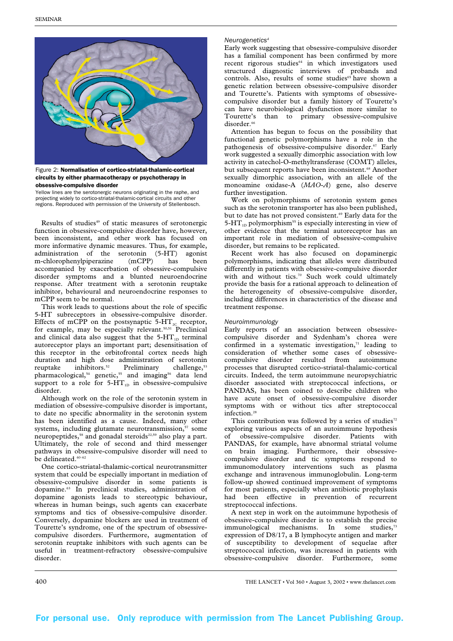

Figure 2: Normalisation of cortico-striatal-thalamic-cortical circuits by either pharmacotherapy or psychotherapy in obsessive-compulsive disorder

Yellow lines are the serotonergic neurons originating in the raphe, and projecting widely to cortico-striatal-thalamic-cortical circuits and other regions. Reproduced with permission of the University of Stellenbosch.

Results of studies<sup>49</sup> of static measures of serotonergic function in obsessive-compulsive disorder have, however, been inconsistent, and other work has focused on more informative dynamic measures. Thus, for example, administration of the serotonin (5-HT) agonist<br>m-chlorophenylpiperazine (mCPP) has been m-chlorophenylpiperazine (mCPP) has been accompanied by exacerbation of obsessive-compulsive disorder symptoms and a blunted neuroendocrine response. After treatment with a serotonin reuptake inhibitor, behavioural and neuroendocrine responses to mCPP seem to be normal.

This work leads to questions about the role of specific 5-HT subreceptors in obsessive-compulsive disorder. Effects of mCPP on the postsynaptic 5-HT<sub>2C</sub> receptor, for example, may be especially relevant.50,51 Preclinical and clinical data also suggest that the  $5-HT_{1D}$  terminal autoreceptor plays an important part; desensitisation of this receptor in the orbitofrontal cortex needs high duration and high dose administration of serotonin reuptake inhibitors.<sup>52</sup> Preliminary challenge,<sup>53</sup> pharmacological,<sup>54</sup> genetic,<sup>55</sup> and imaging<sup>56</sup> data lend support to a role for  $5-\text{HT}_{1D}$  in obsessive-compulsive disorder.

Although work on the role of the serotonin system in mediation of obsessive-compulsive disorder is important, to date no specific abnormality in the serotonin system has been identified as a cause. Indeed, many other systems, including glutamate neurotransmission,<sup>57</sup> some neuropeptides,<sup>58</sup> and gonadal steroids<sup>22,59</sup> also play a part. Ultimately, the role of second and third messenger pathways in obsessive-compulsive disorder will need to be delineated.<sup>60-62</sup>

One cortico-striatal-thalamic-cortical neurotransmitter system that could be especially important in mediation of obsessive-compulsive disorder in some patients is dopamine.63 In preclinical studies, administration of dopamine agonists leads to stereotypic behaviour, whereas in human beings, such agents can exacerbate symptoms and tics of obsessive-compulsive disorder. Conversely, dopamine blockers are used in treatment of Tourette's syndrome, one of the spectrum of obsessivecompulsive disorders. Furthermore, augmentation of serotonin reuptake inhibitors with such agents can be useful in treatment-refractory obsessive-compulsive disorder.

#### *Neurogenetics4*

Early work suggesting that obsessive-compulsive disorder has a familial component has been confirmed by more recent rigorous studies<sup>64</sup> in which investigators used structured diagnostic interviews of probands and controls. Also, results of some studies<sup>65</sup> have shown a genetic relation between obsessive-compulsive disorder and Tourette's. Patients with symptoms of obsessivecompulsive disorder but a family history of Tourette's can have neurobiological dysfunction more similar to Tourette's than to primary obsessive-compulsive disorder.<sup>66</sup>

Attention has begun to focus on the possibility that functional genetic polymorphisms have a role in the pathogenesis of obsessive-compulsive disorder.<sup>67</sup> Early work suggested a sexually dimorphic association with low activity in catechol-O-methyltransferase (COMT) alleles, but subsequent reports have been inconsistent.<sup>68</sup> Another sexually dimorphic association, with an allele of the monoamine oxidase-A (*MAO-A*) gene, also deserve further investigation.

Work on polymorphisms of serotonin system genes such as the serotonin transporter has also been published, but to date has not proved consistent.<sup>69</sup> Early data for the 5-HT $_{1D}$  polymorphism<sup>55</sup> is especially interesting in view of other evidence that the terminal autoreceptor has an important role in mediation of obsessive-compulsive disorder, but remains to be replicated.

Recent work has also focused on dopaminergic polymorphisms, indicating that alleles were distributed differently in patients with obsessive-compulsive disorder with and without tics.<sup>70</sup> Such work could ultimately provide the basis for a rational approach to delineation of the heterogeneity of obsessive-compulsive disorder, including differences in characteristics of the disease and treatment response.

#### *Neuroimmunology*

Early reports of an association between obsessivecompulsive disorder and Sydenham's chorea were confirmed in a systematic investigation, $71$  leading to consideration of whether some cases of obsessivecompulsive disorder resulted from autoimmune processes that disrupted cortico-striatal-thalamic-cortical circuits. Indeed, the term autoimmune neuropsychiatric disorder associated with streptococcal infections, or PANDAS, has been coined to describe children who have acute onset of obsessive-compulsive disorder symptoms with or without tics after streptococcal infection.28

This contribution was followed by a series of studies $72$ exploring various aspects of an autoimmune hypothesis of obsessive-compulsive disorder. Patients with PANDAS, for example, have abnormal striatal volume on brain imaging. Furthermore, their obsessivecompulsive disorder and tic symptoms respond to immunomodulatory interventions such as plasma exchange and intravenous immunoglobulin. Long-term follow-up showed continued improvement of symptoms for most patients, especially when antibiotic prophylaxis had been effective in prevention of recurrent streptococcal infections.

A next step in work on the autoimmune hypothesis of obsessive-compulsive disorder is to establish the precise immunological mechanisms. In some studies,<sup>73</sup> expression of D8/17, a B lymphocyte antigen and marker of susceptibility to development of sequelae after streptococcal infection, was increased in patients with obsessive-compulsive disorder. Furthermore, some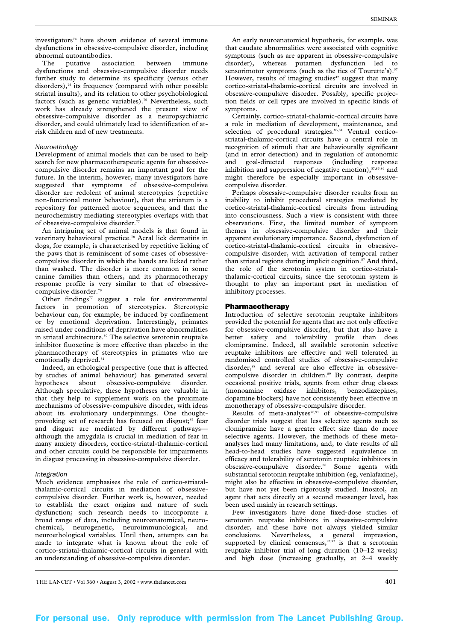investigators<sup>74</sup> have shown evidence of several immune dysfunctions in obsessive-compulsive disorder, including abnormal autoantibodies.

The putative association between immune dysfunctions and obsessive-compulsive disorder needs further study to determine its specificity (versus other disorders),<sup>75</sup> its frequency (compared with other possible striatal insults), and its relation to other psychobiological factors (such as genetic variables).<sup>76</sup> Nevertheless, such work has already strengthened the present view of obsessive-compulsive disorder as a neuropsychiatric disorder, and could ultimately lead to identification of atrisk children and of new treatments.

## *Neuroethology*

Development of animal models that can be used to help search for new pharmacotherapeutic agents for obsessivecompulsive disorder remains an important goal for the future. In the interim, however, many investigators have suggested that symptoms of obsessive-compulsive disorder are redolent of animal stereotypies (repetitive non-functional motor behaviour), that the striatum is a repository for patterned motor sequences, and that the neurochemistry mediating stereotypies overlaps with that of obsessive-compulsive disorder.77

An intriguing set of animal models is that found in veterinary behavioural practice.78 Acral lick dermatitis in dogs, for example, is characterised by repetitive licking of the paws that is reminiscent of some cases of obsessivecompulsive disorder in which the hands are licked rather than washed. The disorder is more common in some canine families than others, and its pharmacotherapy response profile is very similar to that of obsessivecompulsive disorder.79

Other findings<sup>77</sup> suggest a role for environmental factors in promotion of stereotypies. Stereotypic behaviour can, for example, be induced by confinement or by emotional deprivation. Interestingly, primates raised under conditions of deprivation have abnormalities in striatal architecture.<sup>80</sup> The selective serotonin reuptake inhibitor fluoxetine is more effective than placebo in the pharmacotherapy of stereotypies in primates who are emotionally deprived.<sup>81</sup>

Indeed, an ethological perspective (one that is affected by studies of animal behaviour) has generated several hypotheses about obsessive-compulsive disorder. Although speculative, these hypotheses are valuable in that they help to supplement work on the proximate mechanisms of obsessive-compulsive disorder, with ideas about its evolutionary underpinnings. One thoughtprovoking set of research has focused on disgust;<sup>82</sup> fear and disgust are mediated by different pathways although the amygdala is crucial in mediation of fear in many anxiety disorders, cortico-striatal-thalamic-cortical and other circuits could be responsible for impairments in disgust processing in obsessive-compulsive disorder.

#### *Integration*

Much evidence emphasises the role of cortico-striatalthalamic-cortical circuits in mediation of obsessivecompulsive disorder. Further work is, however, needed to establish the exact origins and nature of such dysfunction; such research needs to incorporate a broad range of data, including neuroanatomical, neurochemical, neurogenetic, neuroimmunological, and neuroethological variables. Until then, attempts can be made to integrate what is known about the role of cortico-striatal-thalamic-cortical circuits in general with an understanding of obsessive-compulsive disorder.

An early neuroanatomical hypothesis, for example, was that caudate abnormalities were associated with cognitive symptoms (such as are apparent in obsessive-compulsive disorder), whereas putamen dysfunction led to sensorimotor symptoms (such as the tics of Tourette's).<sup>37</sup> However, results of imaging studies $42$  suggest that many cortico-striatal-thalamic-cortical circuits are involved in obsessive-compulsive disorder. Possibly, specific projection fields or cell types are involved in specific kinds of symptoms.

Certainly, cortico-striatal-thalamic-cortical circuits have a role in mediation of development, maintenance, and selection of procedural strategies.<sup>83,84</sup> Ventral corticostriatal-thalamic-cortical circuits have a central role in recognition of stimuli that are behaviourally significant (and in error detection) and in regulation of autonomic and goal-directed responses (including response inhibition and suppression of negative emotion), $37,85,86$  and might therefore be especially important in obsessivecompulsive disorder.

Perhaps obsessive-compulsive disorder results from an inability to inhibit procedural strategies mediated by cortico-striatal-thalamic-cortical circuits from intruding into consciousness. Such a view is consistent with three observations. First, the limited number of symptom themes in obsessive-compulsive disorder and their apparent evolutionary importance. Second, dysfunction of cortico-striatal-thalamic-cortical circuits in obsessivecompulsive disorder, with activation of temporal rather than striatal regions during implicit cognition. $\frac{1}{87}$  And third, the role of the serotonin system in cortico-striatalthalamic-cortical circuits, since the serotonin system is thought to play an important part in mediation of inhibitory processes.

#### Pharmacotherapy

Introduction of selective serotonin reuptake inhibitors provided the potential for agents that are not only effective for obsessive-compulsive disorder, but that also have a better safety and tolerability profile than does clomipramine. Indeed, all available serotonin selective reuptake inhibitors are effective and well tolerated in randomised controlled studies of obsessive-compulsive disorder,<sup>88</sup> and several are also effective in obsessivecompulsive disorder in children.<sup>89</sup> By contrast, despite occasional positive trials, agents from other drug classes (monoamine oxidase inhibitors, benzodiazepines, dopamine blockers) have not consistently been effective in monotherapy of obsessive-compulsive disorder.

Results of meta-analyses $90,91$  of obsessive-compulsive disorder trials suggest that less selective agents such as clomipramine have a greater effect size than do more selective agents. However, the methods of these metaanalyses had many limitations, and, to date results of all head-to-head studies have suggested equivalence in efficacy and tolerability of serotonin reuptake inhibitors in obsessive-compulsive disorder.88 Some agents with substantial serotonin reuptake inhibition (eg, venlafaxine), might also be effective in obsessive-compulsive disorder, but have not yet been rigorously studied. Inositol, an agent that acts directly at a second messenger level, has been used mainly in research settings.

Few investigators have done fixed-dose studies of serotonin reuptake inhibitors in obsessive-compulsive disorder, and these have not always yielded similar conclusions. Nevertheless, a general impression, supported by clinical consensus, $92,93$  is that a serotonin reuptake inhibitor trial of long duration (10–12 weeks) and high dose (increasing gradually, at 2–4 weekly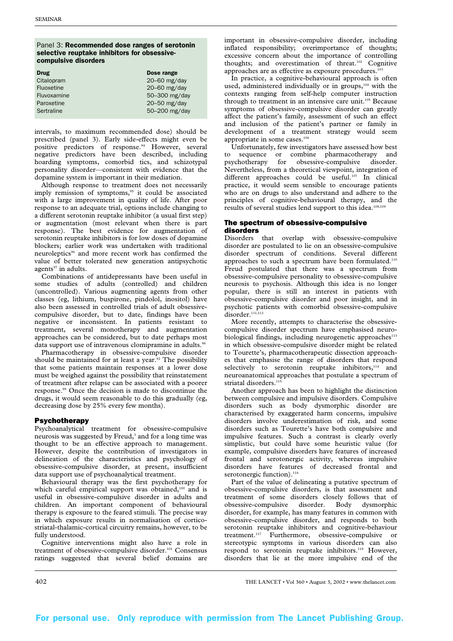#### Panel 3: Recommended dose ranges of serotonin selective reuptake inhibitors for obsessivecompulsive disorders

| <b>Drug</b> | Dose range     |
|-------------|----------------|
| Citalopram  | $20-60$ mg/day |
| Fluoxetine  | $20-60$ mg/day |
| Fluvoxamine | 50-300 mg/day  |
| Paroxetine  | $20-50$ mg/day |
| Sertraline  | 50-200 mg/day  |

intervals, to maximum recommended dose) should be prescribed (panel 3). Early side-effects might even be positive predictors of response.<sup>94</sup> However, several negative predictors have been described, including hoarding symptoms, comorbid tics, and schizotypal personality disorder—consistent with evidence that the dopamine system is important in their mediation.

Although response to treatment does not necessarily imply remission of symptoms,<sup>95</sup> it could be associated with a large improvement in quality of life. After poor response to an adequate trial, options include changing to a different serotonin reuptake inhibitor (a usual first step) or augmentation (most relevant when there is part response). The best evidence for augmentation of serotonin reuptake inhibitors is for low doses of dopamine blockers; earlier work was undertaken with traditional neuroleptics<sup>96</sup> and more recent work has confirmed the value of better tolerated new generation antipsychotic agents $97$  in adults.

Combinations of antidepressants have been useful in some studies of adults (controlled) and children (uncontrolled). Various augmenting agents from other classes (eg, lithium, buspirone, pindolol, inositol) have also been assessed in controlled trials of adult obsessivecompulsive disorder, but to date, findings have been negative or inconsistent. In patients resistant to treatment, several monotherapy and augmentation approaches can be considered, but to date perhaps most data support use of intravenous clomipramine in adults.<sup>98</sup>

Pharmacotherapy in obsessive-compulsive disorder should be maintained for at least a year.<sup>92</sup> The possibility that some patients maintain responses at a lower dose must be weighed against the possibility that reinstatement of treatment after relapse can be associated with a poorer response.99 Once the decision is made to discontinue the drugs, it would seem reasonable to do this gradually (eg, decreasing dose by 25% every few months).

## Psychotherapy

Psychoanalytical treatment for obsessive-compulsive neurosis was suggested by Freud,<sup>3</sup> and for a long time was thought to be an effective approach to management. However, despite the contribution of investigators in delineation of the characteristics and psychology of obsessive-compulsive disorder, at present, insufficient data support use of psychoanalytical treatment.

Behavioural therapy was the first psychotherapy for which careful empirical support was obtained,<sup>100</sup> and is useful in obsessive-compulsive disorder in adults and children. An important component of behavioural therapy is exposure to the feared stimuli. The precise way in which exposure results in normalisation of corticostriatal-thalamic-cortical circuitry remains, however, to be fully understood.

Cognitive interventions might also have a role in treatment of obsessive-compulsive disorder.<sup>101</sup> Consensus ratings suggested that several belief domains are important in obsessive-compulsive disorder, including inflated responsibility; overimportance of thoughts; excessive concern about the importance of controlling thoughts; and overestimation of threat.102 Cognitive approaches are as effective as exposure procedures.103

In practice, a cognitive-behavioural approach is often used, administered individually or in groups,<sup>104</sup> with the contexts ranging from self-help computer instruction through to treatment in an intensive care unit.<sup>105</sup> Because symptoms of obsessive-compulsive disorder can greatly affect the patient's family, assessment of such an effect and inclusion of the patient's partner or family in development of a treatment strategy would seem appropriate in some cases.106

Unfortunately, few investigators have assessed how best to sequence or combine pharmacotherapy and psychotherapy for obsessive-compulsive disorder. Nevertheless, from a theoretical viewpoint, integration of different approaches could be useful.<sup>107</sup> In clinical practice, it would seem sensible to encourage patients who are on drugs to also understand and adhere to the principles of cognitive-behavioural therapy, and the results of several studies lend support to this idea.108,109

## The spectrum of obsessive-compulsive disorders

Disorders that overlap with obsessive-compulsive disorder are postulated to lie on an obsessive-compulsive disorder spectrum of conditions. Several different approaches to such a spectrum have been formulated.<sup>110</sup> Freud postulated that there was a spectrum from obsessive-compulsive personality to obsessive-compulsive neurosis to psychosis. Although this idea is no longer popular, there is still an interest in patients with obsessive-compulsive disorder and poor insight, and in psychotic patients with comorbid obsessive-compulsive disorder.<sup>111,112</sup>

More recently, attempts to characterise the obsessivecompulsive disorder spectrum have emphasised neurobiological findings, including neurogenetic approaches<sup>113</sup> in which obsessive-compulsive disorder might be related to Tourette's, pharmacotherapeutic dissection approaches that emphasise the range of disorders that respond selectively to serotonin reuptake inhibitors,<sup>114</sup> and neuroanatomical approaches that postulate a spectrum of striatal disorders.<sup>115</sup>

Another approach has been to highlight the distinction between compulsive and impulsive disorders. Compulsive disorders such as body dysmorphic disorder are characterised by exaggerated harm concerns, impulsive disorders involve underestimation of risk, and some disorders such as Tourette's have both compulsive and impulsive features. Such a contrast is clearly overly simplistic, but could have some heuristic value (for example, compulsive disorders have features of increased frontal and serotonergic activity, whereas impulsive disorders have features of decreased frontal and serotonergic function).<sup>116</sup>

Part of the value of delineating a putative spectrum of obsessive-compulsive disorders, is that assessment and treatment of some disorders closely follows that of obsessive-compulsive disorder. Body dysmorphic disorder, for example, has many features in common with obsessive-compulsive disorder, and responds to both serotonin reuptake inhibitors and cognitive-behaviour treatment.117 Furthermore, obsessive-compulsive or stereotypic symptoms in various disorders can also respond to serotonin reuptake inhibitors.<sup>118</sup> However, disorders that lie at the more impulsive end of the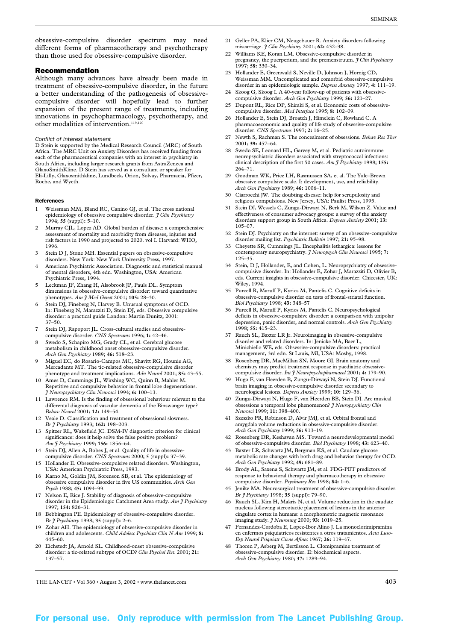obsessive-compulsive disorder spectrum may need different forms of pharmacotherapy and psychotherapy than those used for obsessive-compulsive disorder.

#### Recommendation

Although many advances have already been made in treatment of obsessive-compulsive disorder, in the future a better understanding of the pathogenesis of obsessivecompulsive disorder will hopefully lead to further expansion of the present range of treatments, including innovations in psychopharmacology, psychotherapy, and other modalities of intervention.<sup>119,12</sup>

#### *Conflict of interest statement*

D Stein is supported by the Medical Research Council (MRC) of South Africa. The MRC Unit on Anxiety Disorders has received funding from each of the pharmaceutical companies with an interest in psychiatry in South Africa, including larger research grants from AstraZeneca and GlaxoSmithKline. D Stein has served as a consultant or speaker for Eli-Lilly, Glaxosmithkline, Lundbeck, Orion, Solvay, Pharmacia, Pfizer, Roche, and Wyeth.

#### References

- Weissman MM, Bland RC, Canino GJ, et al. The cross national epidemiology of obsessive compulsive disorder. *J Clin Psychiatry* 1994; **55** (suppl)**:** 5–10.
- 2 Murray CJL, Lopez AD. Global burden of disease: a comprehensive assessment of mortality and morbidity from diseases, injuries and risk factors in 1990 and projected to 2020. vol I. Harvard: WHO, 1996.
- 3 Stein D J, Stone MH. Essential papers on obsessive-compulsive disorders. New York: New York University Press, 1997.
- 4 American Psychiatric Association. Diagnostic and statistical manual of mental disorders, 4th edn. Washington, USA: American Psychiatric Press, 1994.
- 5 Leckman JF, Zhang H, Alsobrook JP, Pauls DL. Symptom dimensions in obsessive-compulsive disorder: toward quantitative phenotypes. *Am J Med Genet* 2001; **105:** 28–30.
- 6 Stein DJ, Fineberg N, Harvey B. Unusual symptoms of OCD. In: Fineberg N, Marazziti D, Stein DJ, eds. Obsessive compulsive disorder: a practical guide London: Martin Dunitz, 2001: 37–50.
- 7 Stein DJ, Rapoport JL. Cross-cultural studies and obsessivecompulsive disorder. *CNS Spectrums* 1996; **1:** 42–46.
- 8 Swedo S, Schapiro MG, Grady CL, et al. Cerebral glucose metabolism in childhood onset obsessive-compulsive disorder. *Arch Gen Psychiatry* 1989; **46:** 518–23.
- 9 Miguel EC, do Rosario-Campos MC, Shavitt RG, Hounie AG, Mercadante MT. The tic-related obsessive-compulsive disorder phenotype and treatment implications. *Adv Neurol* 2001; **85:** 43–55.
- 10 Ames D, Cummings JL, Wirshing WC, Quinn B, Mahler M. Repetitive and compulsive behavior in frontal lobe degenerations. *J Neuropsychiatry Clin Neurosci* 1994; **6:** 100–13.
- Lawrence RM. Is the finding of obsessional behaviour relevant to the differental diagnosis of vascular dementia of the Binswanger type? *Behav Neurol* 2001; **12:** 149–54.
- 12 Veale D. Classification and treatment of obsessional slowness. *Br J Psychiatry* 1993; **162:** 198–203.
- Spitzer RL, Wakefield JC. DSM-IV diagnostic criterion for clinical significance: does it help solve the false positive problem? *Am J Psychiatry* 1999; **156:** 1856–64.
- Stein DJ, Allen A, Bobes J, et al. Quality of life in obsessivecompulsive disorder. *CNS Spectrums* 2000; **5** (suppl)**:** 37–39.
- 15 Hollander E. Obsessive-compulsive related disorders. Washington, USA: American Psychiatric Press, 1993.
- 16 Karno M, Goldin JM, Sorenson SB, et al. The epidemiology of obsessive compulsive disorder in five US communities. *Arch Gen Psych* 1988; **45:** 1094–99.
- Nelson E, Rice J. Stability of diagnosis of obsessive-compulsive disorder in the Epidemiologic Catchment Area study. *Am J Psychiatry* 1997; **154:** 826–31.
- 18 Bebbington PE. Epidemiology of obsessive-compulsive disorder. *Br J Psychiatry* 1998; **35** (suppl)**:** 2–6.
- 19 Zohar AH. The epidemiology of obsessive-compulsive disorder in children and adolescents. *Child Adolesc Psychiatr Clin N Am* 1999; **8:** 445–60.
- 20 Eichstedt JA, Arnold SL. Childhood-onset obsessive-compulsive disorder: a tic-related subtype of OCD? *Clin Psychol Rev* 2001; **21:** 137–57.
- 21 Geller PA, Klier CM, Neugebauer R. Anxiety disorders following miscarriage. *J Clin Psychiatry* 2001; **62:** 432–38.
- 22 Williams KE, Koran LM. Obsessive-compulsive disorder in pregnancy, the puerperium, and the premenstruum. *J Clin Psychiatry* 1997; **58:** 330–34.
- 23 Hollander E, Greenwald S, Neville D, Johnson J, Hornig CD, Weissman MM. Uncomplicated and comorbid obsessive-compulsive disorder in an epidemiologic sample. *Depress Anxiety* 1997; **4:** 111–19.
- 24 Skoog G, Skoog I. A 40-year follow-up of patients with obsessivecompulsive disorder. *Arch Gen Psychiatry* 1999; **56:** 121–27. 25 Dupont RL, Rice DP, Shiraki S, et al. Economic costs of obsessive-
- compulsive disorder. *Med Interface* 1995; **8:** 102–09.
- 26 Hollander E, Stein DJ, Broatch J, Himelein C, Rowland C. A pharmacoeconomic and quality of life study of obsessive-compulsive disorder. *CNS Spectrums* 1997; **2:** 16–25.
- 27 Newth S, Rachman S. The concealment of obsessions. *Behav Res Ther* 2001; **39:** 457–64.
- 28 Swedo SE, Leonard HL, Garvey M, et al. Pediatric autoimmune neuropsychiatric disorders associated with streptococcal infections: clinical description of the first 50 cases. *Am J Psychiatry* 1998; **155:** 264–71.
- 29 Goodman WK, Price LH, Rasmussen SA, et al. The Yale–Brown obsessive compulsive scale. I: development, use, and reliability. *Arch Gen Psychiatry* 1989; **46:** 1006–11.
- 30 Ciarrocchi JW. The doubting disease: help for scrupulosity and religious compulsions. New Jersey, USA: Paulist Press, 1995.
- 31 Stein DJ, Wessels C, Zungu-Dirwayi N, Berk M, Wilson Z. Value and effectiveness of consumer advocacy groups: a survey of the anxiety disorders support group in South Africa. *Depress Anxiety* 2001; **13:** 105–07.
- 32 Stein DJ. Psychiatry on the internet: survey of an obsessive-compulsive disorder mailing list. *Psychiatric Bulletin* 1997; **21:** 95–98.
- 33 Cheyette SR, Cummings JL. Encephalitis lethargica: lessons for contemporary neuropsychiatry. *J Neuropsych Clin Neurosci* 1995; **7:** 125–35.
- 34 Stein, D J, Hollander, E, and Cohen, L. Neuropsychiatry of obsessivecompulsive disorder. In: Hollander E, Zohar J, Marazziti D, Olivier B, eds. Current insights in obsessive-compulsive disorder. Chicester, UK: Wiley, 1994.
- 35 Purcell R, Maruff P, Kyrios M, Pantelis C. Cognitive deficits in obsessive-compulsive disorder on tests of frontal-striatal function. *Biol Psychiatry* 1998; **43:** 348–57
- 36 Purcell R, Maruff P, Kyrios M, Pantelis C. Neuropsychological deficits in obsessive-compulsive disorder: a comparison with unipolar depression, panic disorder, and normal controls. *Arch Gen Psychiatry* 1998; **55:** 415–23.
- 37 Rauch SL, Baxter LR Jr. Neuroimaging in obsessive-compulsive disorder and related disorders. In: Jenicke MA, Baer L, Minichiello WE, eds. Obsessive-compulsive disorders: practical management, 3rd edn. St Louis, MI, USA: Mosby, 1998.
- 38 Rosenberg DR, MacMillan SN, Moore GJ. Brain anatomy and chemistry may predict treatment response in paediatric obsessivecompulsive disorder. *Int J Neuropsychopharmacol* 2001; **4:** 179–90.
- 39 Hugo F, van Heerden B, Zungu-Dirwayi N, Stein DJ. Functional brain imaging in obsessive-compulsive disorder secondary to neurological lesions. *Depress Anxiety* 1999; **10:** 129–36.
- 40 Zungu-Dirwayi N, Hugo F, van Heerden BB, Stein DJ. Are musical obsessions a temporal lobe phenomenon? *J Neuropsychiatry Clin Neurosci* 1999; **11:** 398–400.
- 41 Szeszko PR, Robinson D, Alvir JMJ, et al. Orbital frontal and amygdala volume reductions in obsessive-compulsive disorder. *Arch Gen Psychiatry* 1999; **56:** 913–19.
- 42 Rosenberg DR, Keshavan MS. Toward a neurodevelopmental model of obsessive-compulsive disorder. *Biol Psychiatry* 1998; **43:** 623–40.
- 43 Baxter LR, Schwartz JM, Bergman KS, et al. Caudate glucose metabolic rate changes with both drug and behavior therapy for OCD. *Arch Gen Psychiatry* 1992; **49:** 681–89.
- 44 Brody AL, Saxena S, Schwartz JM, et al. FDG-PET predictors of response to behavioral therapy and pharmacotherapy in obsessive compulsive disorder. *Psychiatry Res* 1998; **84:** 1–6.
- 45 Jenike MA. Neurosurgical treatment of obsessive-compulsive disorder. *Br J Psychiatry* 1998; **35** (suppl)**:** 79–90.
- 46 Rauch SL, Kim H, Makris N, et al. Volume reduction in the caudate nucleus following stereotactic placement of lesions in the anterior cingulate cortex in humans: a morphometric magnetic resonance imaging study. *J Neurosurg* 2000; **93:** 1019–25.
- 47 Fernandez-Cordoba E, Lopez-Ibor Alino J. La monoclorimipramina en enfermos psiquiatricos resistentes a otros tratamientos. *Acta Luso-Esp Neurol Psiquiatr Ciene Afines* 1967; **26:** 119–47.
- 48 Thoren P, Asberg M, Bertilsson L. Clomipramine treatment of obsessive-compulsive disorder. II: biochemical aspects. *Arch Gen Psychiatry* 1980; **37:** 1289–94.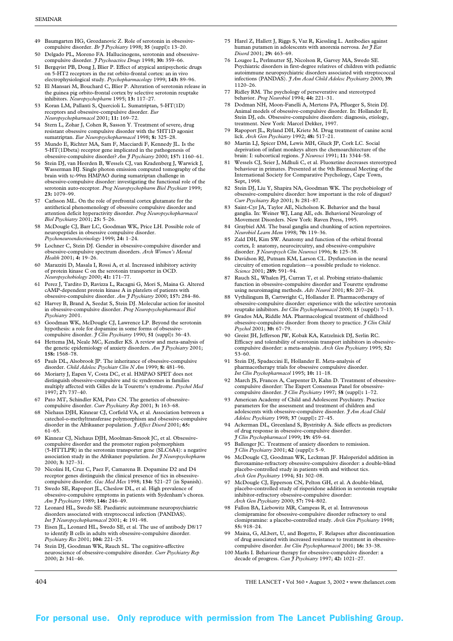- 49 Baumgarten HG, Grozdanovic Z. Role of serotonin in obsessivecompulsive disorder. *Br J Psychiatry* 1998; **35** (suppl)**:** 13–20.
- 50 Delgado PL, Moreno FA. Hallucinogens, serotonin and obsessivecompulsive disorder. *J Psychoactive Drugs* 1998; **30:** 359–66.
- 51 Bergqvist PB, Dong J, Blier P. Effect of atypical antipsychotic drugs on 5-HT2 receptors in the rat orbito-frontal cortex: an in vivo electrophysiological study. *Psychopharmacology* 1999; **143:** 89–96.
- 52 El Mansari M, Bouchard C, Blier P. Alteration of serotonin release in the guinea pig orbito-frontal cortex by selective serotonin reuptake inhibitors. *Neuropsychopharm* 1995; **13:** 117–27.
- 53 Koran LM, Pallanti S, Quercioli L. Sumatriptan, 5-HT(1D) receptors and obsessive-compulsive disorder. *Eur Neuropsychopharmacol* 2001; **11:** 169–72.
- 54 Stern L, Zohar J, Cohen R, Sasson Y. Treatment of severe, drug resistant obsessive compulsive disorder with the 5HT1D agonist sumatriptan. *Eur Neuropsychopharmacol* 1998; **8:** 325–28.
- 55 Mundo E, Richter MA, Sam F, Macciardi F, Kennedy JL. Is the 5-HT(1Dbeta) receptor gene implicated in the pathogenesis of obsessive-compulsive disorder? *Am J Psychiatry* 2000; **157:** 1160–61.
- 56 Stein DJ, van Heerden B, Wessels CJ, van Kradenberg J, Warwick J, Wasserman HJ. Single photon emission computed tomography of the brain with tc-99m HMPAO during sumatriptan challenge in obsessive-compulsive disorder: investigating the functional role of the serotonin auto-receptor. *Prog Neuropsychopharm Biol Psychiatr* 1999; **23:** 1079–99.
- Carlsson ML. On the role of prefrontal cortex glutamate for the antithetical phenomenology of obsessive compulsive disorder and attention deficit hyperactivity disorder. *Prog Neuropsychopharmacol Biol Psychiatry* 2001; **25:** 5–26.
- 58 McDougle CJ, Barr LC, Goodman WK, Price LH. Possible role of neuropeptides in obsessive compulsive disorder. *Psychoneuroendocrinology* 1999; **24:** 1–24.
- Lochner C, Stein DJ. Gender in obsessive-compulsive disorder and obsessive-compulsive spectrum disorders. *Arch Women's Mental Health* 2001; **4:** 19–26.
- 60 Marazziti D, Masala I, Rossi A, et al. Increased inhibitory activity of protein kinase C on the serotonin transporter in OCD. *Neuropsychobiology* 2000; **41:** 171–77.
- 61 Perez J, Tardito D, Ravizza L, Racagni G, Mori S, Maina G. Altered cAMP-dependent protein kinase A in platelets of patients with obsessive-compulsive disorder. *Am J Psychiatry* 2000; **157:** 284–86.
- 62 Harvey B, Brand A, Seedat S, Stein DJ. Molecular action for inositol in obsessive-compulsive disorder. *Prog Neuropsychopharmacol Biol Psychiatry* 2001.
- 63 Goodman WK, McDougle CJ, Lawrence LP. Beyond the serotonin hypothesis: a role for dopamine in some forms of obsessivecompulsive disorder. *J Clin Psychiatry* 1990; **51** (suppl)**:** 36–43.
- 64 Hettema JM, Neale MC, Kendler KS. A review and meta-analysis of the genetic epidemiology of anxiety disorders. *Am J Psychiatry* 2001; **158:** 1568–78.
- 65 Pauls DL, Alsobrook JP. The inheritance of obsessive-compulsive disorder. *Child Adolesc Psychiatr Clin N Am* 1999; **8:** 481–96.
- 66 Moriarty J, Eapen V, Costa DC, et al. HMPAO SPET does not distinguish obsessive-compulsive and tic syndromes in families multiply affected with Gilles de la Tourette's syndrome. *Psychol Med* 1997; **27:** 737–40.
- 67 Pato MT, Schindler KM, Pato CN. The genetics of obsessivecompulsive disorder. *Curr Psychiatry Rep* 2001; **3:** 163–68.
- 68 Niehaus DJH, Kinnear CJ, Corfield VA, et al. Association between a catechol-o-methyltransferase polymorphism and obsessive-compulsive disorder in the Afrikaaner population. *J Affect Disord* 2001; **65:** 61–65.
- Kinnear CJ, Niehaus DJH, Moolman-Smook JC, et al. Obsessivecompulsive disorder and the promoter region polymorphism (5-HTTLPR) in the serotonin transporter gene (SLC6A4): a negative association study in the Afrikaner population. *Int J Neuropsychopharm* 2000; **3:** 327–31.
- 70 Nicolini H, Cruz C, Paez F, Camarena B. Dopamine D2 and D4 receptor genes distinguish the clinical presence of tics in obsessivecompulsive disorder. *Gac Med Mex* 1998; **134:** 521–27 (in Spanish).
- 71 Swedo SE, Rapoport JL, Cheslow DL, et al. High prevalence of obsessive-compulsive symptoms in patients with Sydenham's chorea. *Am J Psychiatry* 1989; **146:** 246–49.
- 72 Leonard HL, Swedo SE. Paediatric autoimmune neuropsychiatric disorders associated with streptococcal infection (PANDAS). *Int J Neuropsychopharmacol* 2001; **4:** 191–98.
- 73 Eisen JL, Leonard HL, Swedo SE, et al. The use of antibody D8/17 to identify B cells in adults with obsessive-compulsive disorder. *Psychiatry Res* 2001; **104:** 221–25.
- 74 Stein DJ, Goodman WK, Rauch SL. The cognitive-affective neuroscience of obsessive-compulsive disorder. *Curr Psychiatry Rep* 2000; **2:** 341–46.
- 75 Harel Z, Hallett J, Riggs S, Vaz R, Kiessling L. Antibodies against human putamen in adolescents with anorexia nervosa. *Int J Eat Disord* 2001; **29:** 463–69.
- 76 Lougee L, Perlmutter SJ, Nicolson R, Garvey MA, Swedo SE. Psychiatric disorders in first-degree relatives of children with pediatric autoimmune neuropsychiatric disorders associated with streptococcal infections (PANDAS). *J Am Acad Child Adolesc Psychiatry* 2000; **39:** 1120–26.
- 77 Ridley RM. The psychology of perseverative and stereotyped behavior. *Prog Neurobiol* 1994; **44:** 221–31.
- 78 Dodman NH, Moon-Fanelli A, Mertens PA, Pflueger S, Stein DJ. Animal models of obsessive-compulsive disorder. In: Hollander E, Stein DJ, eds. Obsessive-compulsive disorders: diagnosis, etiology, treatment. New York: Marcel Dekker, 1997.
- 79 Rapoport JL, Ryland DH, Kriete M. Drug treatment of canine acral lick. *Arch Gen Psychiatry* 1992; **48:** 517–21.
- 80 Martin LJ, Spicer DM, Lewis MH, Gluck JP, Cork LC. Social deprivation of infant monkeys alters the chemoarchitecture of the brain: I: subcortical regions. *J Neurosci* 1991; **11:** 3344–58.
- 81 Wessels CJ, Seier J, Mdhuli C, et al. Fluoxetine decreases stereotyped behaviour in primates. Presented at the 9th Biennual Meeting of the International Society for Comparative Psychology, Cape Town, Sept, 1998.
- 82 Stein DJ, Liu Y, Shapira NA, Goodman WK. The psychobiology of obsessive-compulsive disorder: how important is the role of disgust? *Curr Psychiatry Rep* 2001; **3:** 281–87.
- 83 Saint-Cyr JA, Taylor AE, Nicholson K. Behavior and the basal ganglia. In: Weiner WJ, Lang AE, eds. Behavioral Neurology of Movement Disorders. New York: Raven Press, 1995.
- 84 Graybiel AM. The basal ganglia and chunking of action repertoires. *Neurobiol Learn Mem* 1998; **70:** 119–36.
- 85 Zald DH, Kim SW. Anatomy and function of the orbital frontal cortex, I: anatomy, neurocircuitry, and obsessive-compulsive disorder. *J Neuropsych Clin Neurosci* 1996; **8:** 125–38.
- 86 Davidson RJ, Putnam KM, Larson CL. Dysfunction in the neural circuitry of emotion regulation—a possible prelude to violence. *Science* 2001; **289:** 591–94.
- 87 Rauch SL, Whalen PJ, Curran T, et al. Probing striato-thalamic function in obsessive-compulsive disorder and Tourette syndrome using neuroimaging methods. *Adv Neurol* 2001; **85:** 207–24.
- 88 Vythilingum B, Cartwright C, Hollander E. Pharmacotherapy of obsessive-compulsive disorder: experience with the selective serotonin reuptake inhibitors. *Int Clin Psychopharmacol* 2000; **15** (suppl)**:** 7–13.
- 89 Grados MA, Riddle MA. Pharmacological treatment of childhood obsessive-compulsive disorder: from theory to practice. *J Clin Child Psychol* 2001; **30:** 67–79.
- 90 Greist JH, Jefferson JW, Kobak KA, Katzelnick DJ, Serlin RC. Efficacy and tolerability of serotonin transport inhibitors in obsessivecompulsive disorder: a meta-analysis. *Arch Gen Psychiatry* 1995; **52:** 53–60.
- 91 Stein DJ, Spadaccini E, Hollander E. Meta-analysis of pharmacotherapy trials for obsessive compulsive disorder. *Int Clin Psychopharmacol* 1995; **10:** 11–18.
- 92 March JS, Frances A, Carpenter D, Kahn D. Treatment of obsessivecompulsive disorder: The Expert Consensus Panel for obsessivecompulsive disorder. *J Clin Psychiatry* 1997; **58** (suppl)**:** 1–72.
- 93 American Academy of Child and Adolescent Psychiatry. Practice parameters for the assessment and treatment of children and adolescents with obsessive-compulsive disorder. *J Am Acad Child Adolesc Psychiatry* 1998; **37** (suppl)**:** 27–45.
- 94 Ackerman DL, Greenland S, Bystritsky A. Side effects as predictors of drug response in obsessive-compulsive disorder. *J Clin Psychopharmacol* 1999; **19:** 459–64.
- 95 Ballenger JC. Treatment of anxiety disorders to remission. *J Clin Psychiatry* 2001; **62** (suppl)**:** 5–9.
- 96 McDougle CJ, Goodman WK, Leckman JF. Haloperidol addition in fluvoxamine-refractory obsessive-compulsive disorder: a double-blind placebo-controlled study in patients with and without tics. *Arch Gen Psychiatry* 1994; **51:** 302–08.
- 97 McDougle CJ, Epperson CN, Pelton GH, et al. A double-blind, placebo-controlled study of risperidone addition in serotonin reuptake inhibitor-refractory obsessive-compulsive disorder: *Arch Gen Psychiatry* 2000; **57:** 794–802.
- 98 Fallon BA, Liebowitz MR, Campeas R, et al. Intravenous clomipramine for obsessive-compulsive disorder refractory to oral clomipramine: a placebo-controlled study. *Arch Gen Psychiatry* 1998; **55:** 918–24.
- 99 Maina, G, ALbert, U, and Bogetto, F. Relapses after discontinuation of drug associated with increased resistance to treatment in obsessivecompulsive disorder. *Int Clin Psychopharmacol* 2001; **16:** 33–38.
- 100 Marks I. Behaviour therapy for obsessive-compulsive disorder: a decade of progress. *Can J Psychiatry* 1997; **42:** 1021–27.